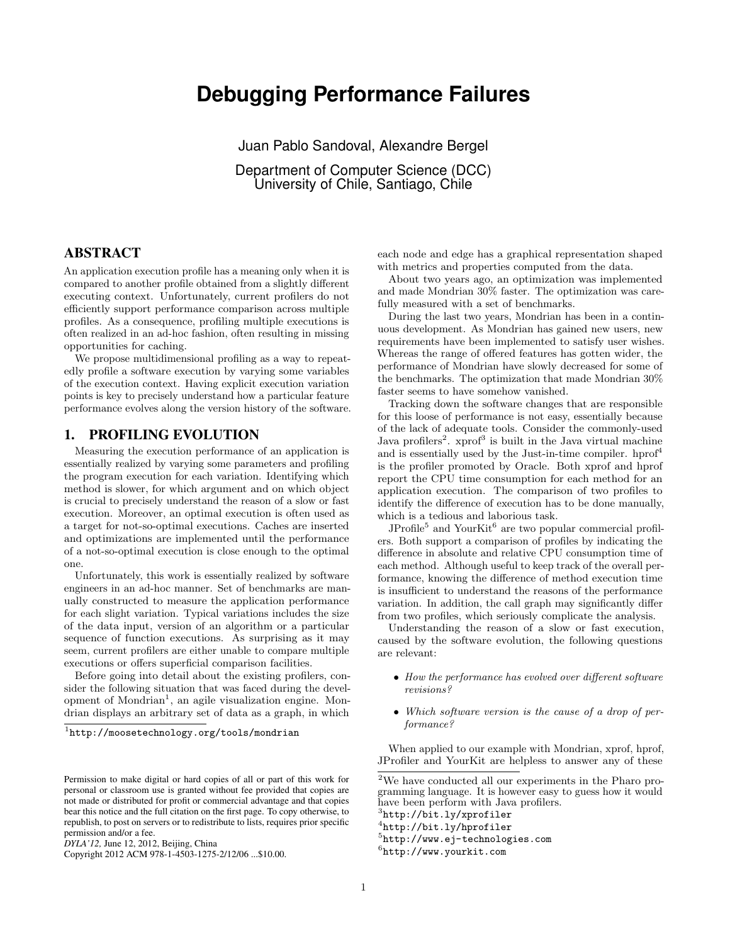# **Debugging Performance Failures**

Juan Pablo Sandoval, Alexandre Bergel

Department of Computer Science (DCC) University of Chile, Santiago, Chile

## ABSTRACT

An application execution profile has a meaning only when it is compared to another profile obtained from a slightly different executing context. Unfortunately, current profilers do not efficiently support performance comparison across multiple profiles. As a consequence, profiling multiple executions is often realized in an ad-hoc fashion, often resulting in missing opportunities for caching.

We propose multidimensional profiling as a way to repeatedly profile a software execution by varying some variables of the execution context. Having explicit execution variation points is key to precisely understand how a particular feature performance evolves along the version history of the software.

## 1. PROFILING EVOLUTION

Measuring the execution performance of an application is essentially realized by varying some parameters and profiling the program execution for each variation. Identifying which method is slower, for which argument and on which object is crucial to precisely understand the reason of a slow or fast execution. Moreover, an optimal execution is often used as a target for not-so-optimal executions. Caches are inserted and optimizations are implemented until the performance of a not-so-optimal execution is close enough to the optimal one.

Unfortunately, this work is essentially realized by software engineers in an ad-hoc manner. Set of benchmarks are manually constructed to measure the application performance for each slight variation. Typical variations includes the size of the data input, version of an algorithm or a particular sequence of function executions. As surprising as it may seem, current profilers are either unable to compare multiple executions or offers superficial comparison facilities.

Before going into detail about the existing profilers, consider the following situation that was faced during the devel-opment of Mondrian<sup>[1](#page-0-0)</sup>, an agile visualization engine. Mondrian displays an arbitrary set of data as a graph, in which

<span id="page-0-0"></span>1 <http://moosetechnology.org/tools/mondrian>

Copyright 2012 ACM 978-1-4503-1275-2/12/06 ...\$10.00.

each node and edge has a graphical representation shaped with metrics and properties computed from the data.

About two years ago, an optimization was implemented and made Mondrian 30% faster. The optimization was carefully measured with a set of benchmarks.

During the last two years, Mondrian has been in a continuous development. As Mondrian has gained new users, new requirements have been implemented to satisfy user wishes. Whereas the range of offered features has gotten wider, the performance of Mondrian have slowly decreased for some of the benchmarks. The optimization that made Mondrian 30% faster seems to have somehow vanished.

Tracking down the software changes that are responsible for this loose of performance is not easy, essentially because of the lack of adequate tools. Consider the commonly-used Java profilers<sup>[2](#page-0-1)</sup>. xprof<sup>[3](#page-0-2)</sup> is built in the Java virtual machine and is essentially used by the Just-in-time compiler. hprof<sup>[4](#page-0-3)</sup> is the profiler promoted by Oracle. Both xprof and hprof report the CPU time consumption for each method for an application execution. The comparison of two profiles to identify the difference of execution has to be done manually, which is a tedious and laborious task.

JProfile<sup>[5](#page-0-4)</sup> and YourKit<sup>[6](#page-0-5)</sup> are two popular commercial profilers. Both support a comparison of profiles by indicating the difference in absolute and relative CPU consumption time of each method. Although useful to keep track of the overall performance, knowing the difference of method execution time is insufficient to understand the reasons of the performance variation. In addition, the call graph may significantly differ from two profiles, which seriously complicate the analysis.

Understanding the reason of a slow or fast execution, caused by the software evolution, the following questions are relevant:

- How the performance has evolved over different software revisions?
- Which software version is the cause of a drop of performance?

When applied to our example with Mondrian, xprof, hprof, JProfiler and YourKit are helpless to answer any of these

<span id="page-0-2"></span>3 <http://bit.ly/xprofiler>

<span id="page-0-4"></span>5 <http://www.ej-technologies.com>

Permission to make digital or hard copies of all or part of this work for personal or classroom use is granted without fee provided that copies are not made or distributed for profit or commercial advantage and that copies bear this notice and the full citation on the first page. To copy otherwise, to republish, to post on servers or to redistribute to lists, requires prior specific permission and/or a fee.

*DYLA'12,* June 12, 2012, Beijing, China

<span id="page-0-1"></span> $2\overline{V}$  have conducted all our experiments in the Pharo programming language. It is however easy to guess how it would have been perform with Java profilers.

<span id="page-0-3"></span><sup>4</sup> <http://bit.ly/hprofiler>

<span id="page-0-5"></span><sup>6</sup> <http://www.yourkit.com>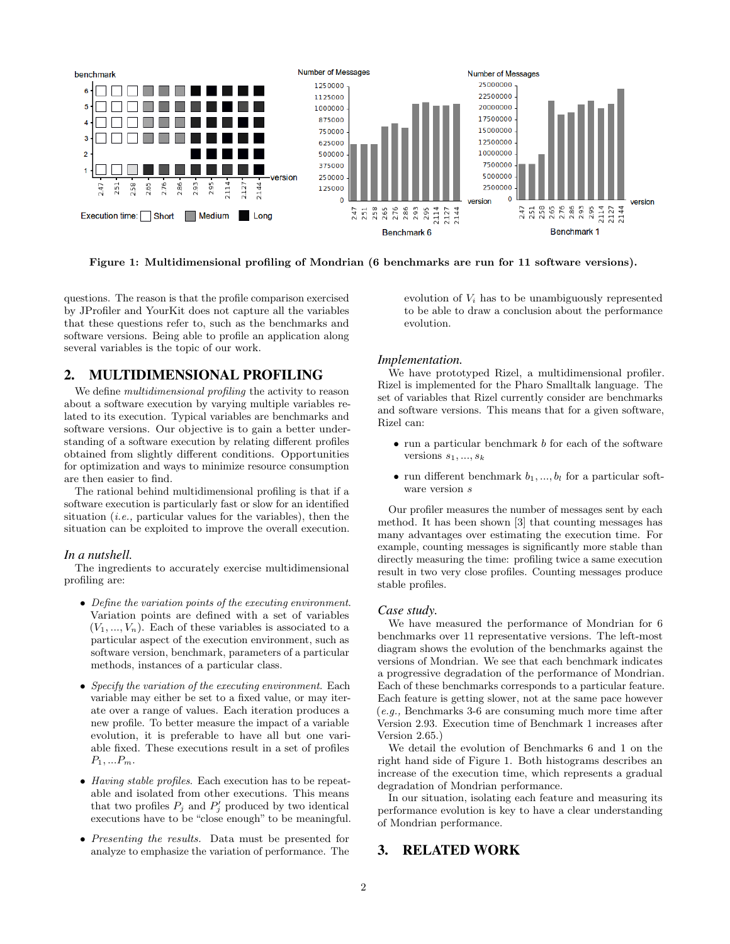<span id="page-1-0"></span>

Figure 1: Multidimensional profiling of Mondrian (6 benchmarks are run for 11 software versions).

questions. The reason is that the profile comparison exercised by JProfiler and YourKit does not capture all the variables that these questions refer to, such as the benchmarks and software versions. Being able to profile an application along several variables is the topic of our work.

## 2. MULTIDIMENSIONAL PROFILING

We define *multidimensional profiling* the activity to reason about a software execution by varying multiple variables related to its execution. Typical variables are benchmarks and software versions. Our objective is to gain a better understanding of a software execution by relating different profiles obtained from slightly different conditions. Opportunities for optimization and ways to minimize resource consumption are then easier to find.

The rational behind multidimensional profiling is that if a software execution is particularly fast or slow for an identified situation  $(i.e.,$  particular values for the variables), then the situation can be exploited to improve the overall execution.

#### *In a nutshell.*

The ingredients to accurately exercise multidimensional profiling are:

- Define the variation points of the executing environment. Variation points are defined with a set of variables  $(V_1, ..., V_n)$ . Each of these variables is associated to a particular aspect of the execution environment, such as software version, benchmark, parameters of a particular methods, instances of a particular class.
- Specify the variation of the executing environment. Each variable may either be set to a fixed value, or may iterate over a range of values. Each iteration produces a new profile. To better measure the impact of a variable evolution, it is preferable to have all but one variable fixed. These executions result in a set of profiles  $P_1, ... P_m$ .
- Having stable profiles. Each execution has to be repeatable and isolated from other executions. This means that two profiles  $P_j$  and  $P'_j$  produced by two identical executions have to be "close enough" to be meaningful.
- Presenting the results. Data must be presented for analyze to emphasize the variation of performance. The

evolution of  $V_i$  has to be unambiguously represented to be able to draw a conclusion about the performance evolution.

#### *Implementation.*

We have prototyped Rizel, a multidimensional profiler. Rizel is implemented for the Pharo Smalltalk language. The set of variables that Rizel currently consider are benchmarks and software versions. This means that for a given software, Rizel can:

- run a particular benchmark b for each of the software versions  $s_1, ..., s_k$
- run different benchmark  $b_1, ..., b_l$  for a particular software version s

Our profiler measures the number of messages sent by each method. It has been shown [\[3\]](#page-2-0) that counting messages has many advantages over estimating the execution time. For example, counting messages is significantly more stable than directly measuring the time: profiling twice a same execution result in two very close profiles. Counting messages produce stable profiles.

#### *Case study.*

We have measured the performance of Mondrian for 6 benchmarks over 11 representative versions. The left-most diagram shows the evolution of the benchmarks against the versions of Mondrian. We see that each benchmark indicates a progressive degradation of the performance of Mondrian. Each of these benchmarks corresponds to a particular feature. Each feature is getting slower, not at the same pace however (e.g., Benchmarks 3-6 are consuming much more time after Version 2.93. Execution time of Benchmark 1 increases after Version 2.65.)

We detail the evolution of Benchmarks 6 and 1 on the right hand side of Figure [1.](#page-1-0) Both histograms describes an increase of the execution time, which represents a gradual degradation of Mondrian performance.

In our situation, isolating each feature and measuring its performance evolution is key to have a clear understanding of Mondrian performance.

## 3. RELATED WORK